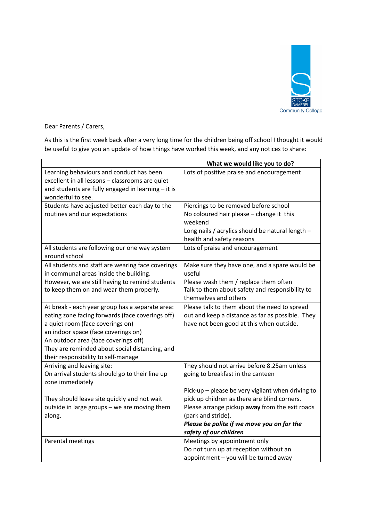

Dear Parents / Carers,

As this is the first week back after a very long time for the children being off school I thought it would be useful to give you an update of how things have worked this week, and any notices to share:

|                                                                                                                                                                                                                                                                                                                 | What we would like you to do?                                                                                                                                                                                                                     |
|-----------------------------------------------------------------------------------------------------------------------------------------------------------------------------------------------------------------------------------------------------------------------------------------------------------------|---------------------------------------------------------------------------------------------------------------------------------------------------------------------------------------------------------------------------------------------------|
| Learning behaviours and conduct has been<br>excellent in all lessons - classrooms are quiet<br>and students are fully engaged in learning - it is<br>wonderful to see.                                                                                                                                          | Lots of positive praise and encouragement                                                                                                                                                                                                         |
| Students have adjusted better each day to the                                                                                                                                                                                                                                                                   | Piercings to be removed before school                                                                                                                                                                                                             |
| routines and our expectations                                                                                                                                                                                                                                                                                   | No coloured hair please - change it this<br>weekend                                                                                                                                                                                               |
|                                                                                                                                                                                                                                                                                                                 | Long nails / acrylics should be natural length -<br>health and safety reasons                                                                                                                                                                     |
| All students are following our one way system<br>around school                                                                                                                                                                                                                                                  | Lots of praise and encouragement                                                                                                                                                                                                                  |
| All students and staff are wearing face coverings<br>in communal areas inside the building.                                                                                                                                                                                                                     | Make sure they have one, and a spare would be<br>useful                                                                                                                                                                                           |
| However, we are still having to remind students<br>to keep them on and wear them properly.                                                                                                                                                                                                                      | Please wash them / replace them often<br>Talk to them about safety and responsibility to<br>themselves and others                                                                                                                                 |
| At break - each year group has a separate area:<br>eating zone facing forwards (face coverings off)<br>a quiet room (face coverings on)<br>an indoor space (face coverings on)<br>An outdoor area (face coverings off)<br>They are reminded about social distancing, and<br>their responsibility to self-manage | Please talk to them about the need to spread<br>out and keep a distance as far as possible. They<br>have not been good at this when outside.                                                                                                      |
| Arriving and leaving site:<br>On arrival students should go to their line up<br>zone immediately                                                                                                                                                                                                                | They should not arrive before 8.25am unless<br>going to breakfast in the canteen                                                                                                                                                                  |
| They should leave site quickly and not wait<br>outside in large groups - we are moving them<br>along.                                                                                                                                                                                                           | Pick-up - please be very vigilant when driving to<br>pick up children as there are blind corners.<br>Please arrange pickup away from the exit roads<br>(park and stride).<br>Please be polite if we move you on for the<br>safety of our children |
| Parental meetings                                                                                                                                                                                                                                                                                               | Meetings by appointment only<br>Do not turn up at reception without an<br>appointment - you will be turned away                                                                                                                                   |